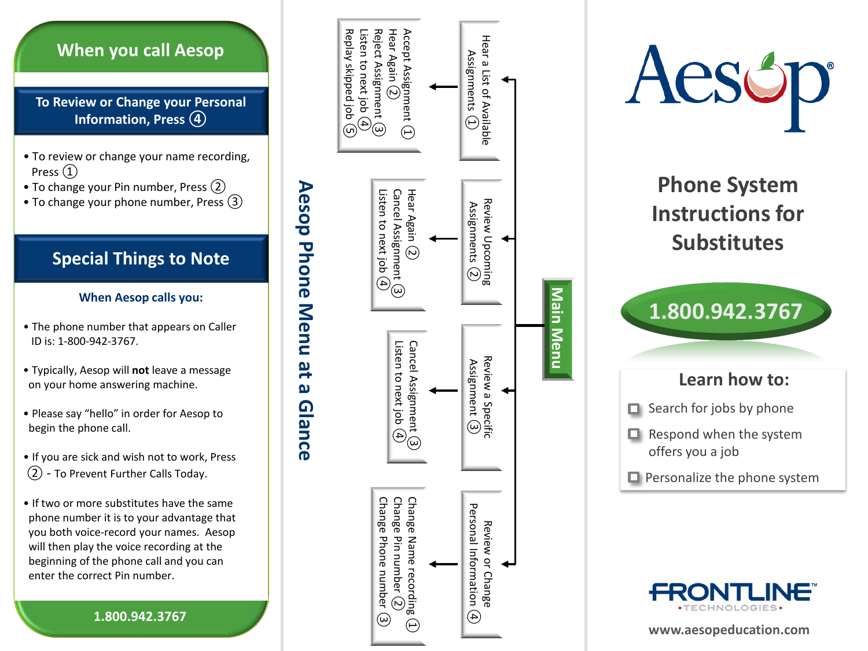## **When you call Aesop**

**To Review or Change your Personal Information, Press ④**

- To review or change your name recording, Press ①
- To change your Pin number, Press (2)
- To change your phone number, Press (3)

# **Special Things to Note**

#### **When Aesop calls you:**

- The phone number that appears on Caller ID is: 1 -800 -942 -3767.
- Typically, Aesop will **not** leave a message on your home answering machine.
- Please say "hello" in order for Aesop to begin the phone call.
- If you are sick and wish not to work, Press ② - To Prevent Further Calls Today.
- If two or more substitutes have the same phone number it is to your advantage that you both voice -record your names. Aesop will then play the voice recording at the beginning of the phone call and you can enter the correct Pin number.

**1.800.942.3767**





## **Learn how to:**

- $\Box$  Search for jobs by phone
- $\Box$  Respond when the system offers you a job
- $\Box$  Personalize the phone system



**www.aesopeducation.com**